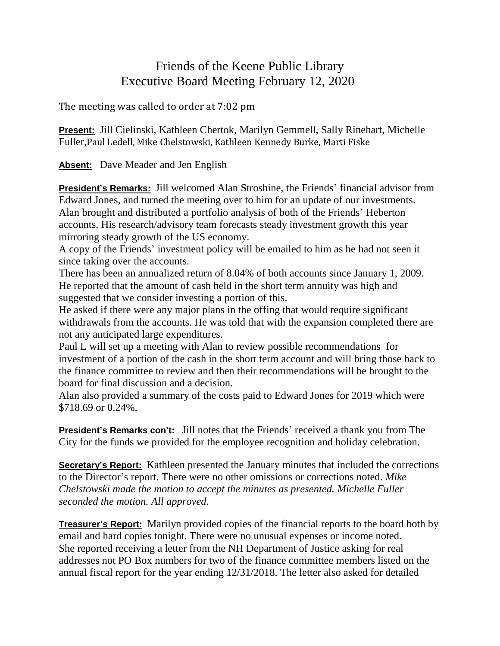## Friends of the Keene Public Library Executive Board Meeting February 12, 2020

## The meeting was called to order at 7:02 pm

**Present:** Jill Cielinski, Kathleen Chertok, Marilyn Gemmell, Sally Rinehart, Michelle Fuller,Paul Ledell, Mike Chelstowski, Kathleen Kennedy Burke, Marti Fiske

**Absent:** Dave Meader and Jen English

**President's Remarks:** Jill welcomed Alan Stroshine, the Friends' financial advisor from Edward Jones, and turned the meeting over to him for an update of our investments. Alan brought and distributed a portfolio analysis of both of the Friends' Heberton accounts. His research/advisory team forecasts steady investment growth this year mirroring steady growth of the US economy.

A copy of the Friends' investment policy will be emailed to him as he had not seen it since taking over the accounts.

There has been an annualized return of 8.04% of both accounts since January 1, 2009. He reported that the amount of cash held in the short term annuity was high and suggested that we consider investing a portion of this.

He asked if there were any major plans in the offing that would require significant withdrawals from the accounts. He was told that with the expansion completed there are not any anticipated large expenditures.

Paul L will set up a meeting with Alan to review possible recommendations for investment of a portion of the cash in the short term account and will bring those back to the finance committee to review and then their recommendations will be brought to the board for final discussion and a decision.

Alan also provided a summary of the costs paid to Edward Jones for 2019 which were \$718.69 or 0.24%.

**President's Remarks con't:** Jill notes that the Friends' received a thank you from The City for the funds we provided for the employee recognition and holiday celebration.

**Secretary's Report:** Kathleen presented the January minutes that included the corrections to the Director's report. There were no other omissions or corrections noted. *Mike Chelstowski made the motion to accept the minutes as presented. Michelle Fuller seconded the motion. All approved.*

**Treasurer's Report:** Marilyn provided copies of the financial reports to the board both by email and hard copies tonight. There were no unusual expenses or income noted. She reported receiving a letter from the NH Department of Justice asking for real addresses not PO Box numbers for two of the finance committee members listed on the annual fiscal report for the year ending 12/31/2018. The letter also asked for detailed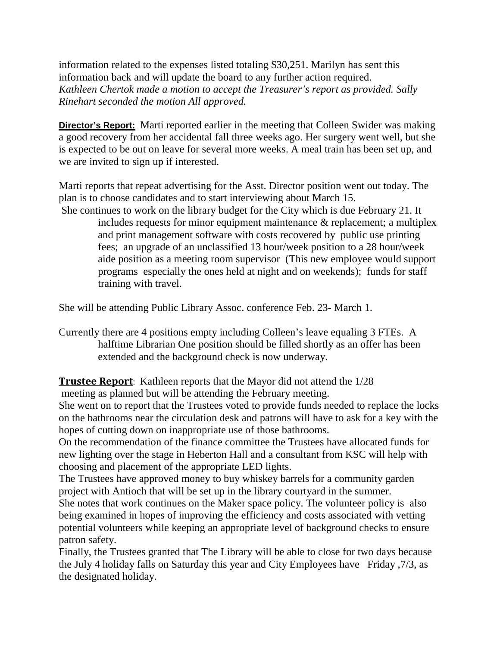information related to the expenses listed totaling \$30,251. Marilyn has sent this information back and will update the board to any further action required. *Kathleen Chertok made a motion to accept the Treasurer's report as provided. Sally Rinehart seconded the motion All approved.*

**Director's Report:** Marti reported earlier in the meeting that Colleen Swider was making a good recovery from her accidental fall three weeks ago. Her surgery went well, but she is expected to be out on leave for several more weeks. A meal train has been set up, and we are invited to sign up if interested.

Marti reports that repeat advertising for the Asst. Director position went out today. The plan is to choose candidates and to start interviewing about March 15.

She continues to work on the library budget for the City which is due February 21. It includes requests for minor equipment maintenance & replacement; a multiplex and print management software with costs recovered by public use printing fees; an upgrade of an unclassified 13 hour/week position to a 28 hour/week aide position as a meeting room supervisor (This new employee would support programs especially the ones held at night and on weekends); funds for staff training with travel.

She will be attending Public Library Assoc. conference Feb. 23- March 1.

Currently there are 4 positions empty including Colleen's leave equaling 3 FTEs. A halftime Librarian One position should be filled shortly as an offer has been extended and the background check is now underway.

**Trustee Report**: Kathleen reports that the Mayor did not attend the 1/28

meeting as planned but will be attending the February meeting.

She went on to report that the Trustees voted to provide funds needed to replace the locks on the bathrooms near the circulation desk and patrons will have to ask for a key with the hopes of cutting down on inappropriate use of those bathrooms.

On the recommendation of the finance committee the Trustees have allocated funds for new lighting over the stage in Heberton Hall and a consultant from KSC will help with choosing and placement of the appropriate LED lights.

The Trustees have approved money to buy whiskey barrels for a community garden project with Antioch that will be set up in the library courtyard in the summer.

She notes that work continues on the Maker space policy. The volunteer policy is also being examined in hopes of improving the efficiency and costs associated with vetting potential volunteers while keeping an appropriate level of background checks to ensure patron safety.

Finally, the Trustees granted that The Library will be able to close for two days because the July 4 holiday falls on Saturday this year and City Employees have Friday ,7/3, as the designated holiday.